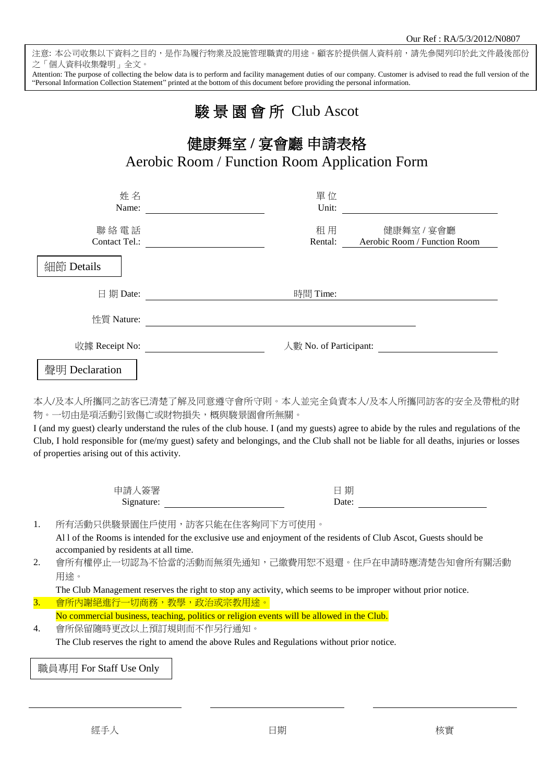注意: 本公司收集以下資料之目的,是作為履行物業及設施管理職責的用途。顧客於提供個人資料前,請先參閱列印於此文件最後部份 之「個人資料收集聲明」全文。

Attention: The purpose of collecting the below data is to perform and facility management duties of our company. Customer is advised to read the full version of the "Personal Information Collection Statement" printed at the bottom of this document before providing the personal information.

## 駿 景 園 會 所Club Ascot

## 健康舞室 **/** 宴會廳 申請表格 Aerobic Room / Function Room Application Form

|                                                                                                 | 姓名<br>Name:                                                                                                                                                                                  | 單位<br>Unit:<br><u> 1980 - Jan Samuel Barbara, politik eta politik eta politik eta politik eta politik eta politik eta politik e</u> |                                            |
|-------------------------------------------------------------------------------------------------|----------------------------------------------------------------------------------------------------------------------------------------------------------------------------------------------|-------------------------------------------------------------------------------------------------------------------------------------|--------------------------------------------|
|                                                                                                 | 聯絡電話<br>Contact Tel.:                                                                                                                                                                        | 租用<br>Rental:                                                                                                                       | 健康舞室 / 宴會廳<br>Aerobic Room / Function Room |
|                                                                                                 | 細節 Details                                                                                                                                                                                   |                                                                                                                                     |                                            |
|                                                                                                 | 日期 Date:                                                                                                                                                                                     | 時間 Time:                                                                                                                            |                                            |
|                                                                                                 | 性質 Nature:                                                                                                                                                                                   |                                                                                                                                     |                                            |
| 收據 Receipt No:<br>人數 No. of Participant:<br><u> 1980 - Andrea Station Barbara, amerikan per</u> |                                                                                                                                                                                              |                                                                                                                                     |                                            |
| 聲明 Declaration                                                                                  |                                                                                                                                                                                              |                                                                                                                                     |                                            |
|                                                                                                 | of properties arising out of this activity.<br>申請人簽署                                                                                                                                         |                                                                                                                                     | 日期                                         |
|                                                                                                 | Signature:<br>Date:                                                                                                                                                                          |                                                                                                                                     |                                            |
| 1.                                                                                              | 所有活動只供駿景園住戶使用,訪客只能在住客夠同下方可使用。<br>Al 1 of the Rooms is intended for the exclusive use and enjoyment of the residents of Club Ascot, Guests should be<br>accompanied by residents at all time. |                                                                                                                                     |                                            |
| 2.                                                                                              | 會所有權停止一切認為不恰當的活動而無須先通知,己繳費用恕不退還。住戶在申請時應清楚告知會所有關活動<br>用途。                                                                                                                                     |                                                                                                                                     |                                            |
|                                                                                                 | The Club Management reserves the right to stop any activity, which seems to be improper without prior notice.                                                                                |                                                                                                                                     |                                            |
| 3.                                                                                              | 會所內謝絕進行一切商務,教學,政治或宗教用途。                                                                                                                                                                      |                                                                                                                                     |                                            |
| 4.                                                                                              | No commercial business, teaching, politics or religion events will be allowed in the Club.<br>會所保留隨時更改以上預訂規則而不作另行通知。                                                                         |                                                                                                                                     |                                            |
|                                                                                                 | The Club reserves the right to amend the above Rules and Regulations without prior notice.                                                                                                   |                                                                                                                                     |                                            |
| 職員專用 For Staff Use Only                                                                         |                                                                                                                                                                                              |                                                                                                                                     |                                            |
|                                                                                                 |                                                                                                                                                                                              |                                                                                                                                     |                                            |

j